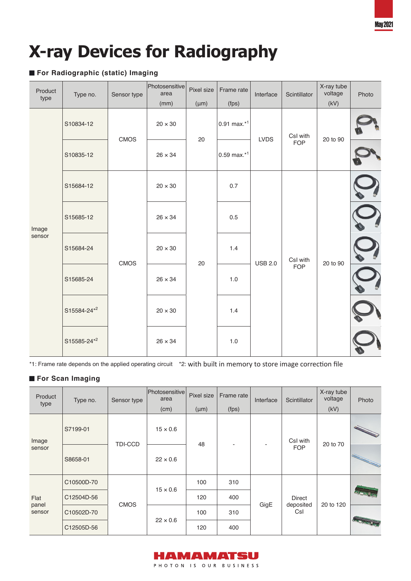# **X-ray Devices for Radiography**

### **For Radiographic (static) Imaging**

| Product<br>type | Type no.    | Sensor type | Photosensitive<br>area<br>(mm) | Pixel size<br>$(\mu m)$ | Frame rate<br>(fps) | Interface      | Scintillator           | X-ray tube<br>voltage<br>(kV) | Photo |
|-----------------|-------------|-------------|--------------------------------|-------------------------|---------------------|----------------|------------------------|-------------------------------|-------|
| Image<br>sensor | S10834-12   | <b>CMOS</b> | $20 \times 30$                 | 20                      | 0.91 max.*1         | <b>LVDS</b>    | CsI with<br><b>FOP</b> | 20 to 90                      |       |
|                 | S10835-12   |             | $26 \times 34$                 |                         | $0.59$ max. $*1$    |                |                        |                               |       |
|                 | S15684-12   | CMOS        | $20\times30$                   | 20                      | 0.7                 | <b>USB 2.0</b> | CsI with<br><b>FOP</b> | 20 to 90                      |       |
|                 | S15685-12   |             | $26 \times 34$                 |                         | 0.5                 |                |                        |                               |       |
|                 | S15684-24   |             | $20 \times 30$                 |                         | 1.4                 |                |                        |                               |       |
|                 | S15685-24   |             | $26 \times 34$                 |                         | $1.0$               |                |                        |                               |       |
|                 | S15584-24*2 |             | $20 \times 30$                 |                         | 1.4                 |                |                        |                               |       |
|                 | S15585-24*2 |             | $26 \times 34$                 |                         | 1.0                 |                |                        |                               |       |

\*1: Frame rate depends on the applied operating circuit \*2: with built in memory to store image correction file

#### **For Scan Imaging**

| Product<br>type         | Type no.   | Sensor type    | Photosensitive<br>area<br>(cm) | Pixel size<br>$(\mu m)$ | Frame rate<br>(fps) | Interface | Scintillator                      | X-ray tube<br>voltage<br>(kV) | Photo                                                                                                                                                                                                                                |
|-------------------------|------------|----------------|--------------------------------|-------------------------|---------------------|-----------|-----------------------------------|-------------------------------|--------------------------------------------------------------------------------------------------------------------------------------------------------------------------------------------------------------------------------------|
| Image<br>sensor         | S7199-01   | <b>TDI-CCD</b> | $15 \times 0.6$                | 48                      |                     | ٠         | CsI with<br><b>FOP</b>            | 20 to 70                      | <b>Contract Contract Contract Contract Contract Contract Contract Contract Contract Contract Contract Contract Contract Contract Contract Contract Contract Contract Contract Contract Contract Contract Contract Contract Contr</b> |
|                         | S8658-01   |                | $22 \times 0.6$                |                         |                     |           |                                   |                               | <b>Contract on the Contract of the Contract of The Contract of The Contract of The Contract of The Contract of T</b>                                                                                                                 |
| Flat<br>panel<br>sensor | C10500D-70 | <b>CMOS</b>    | $15 \times 0.6$                | 100                     | 310                 | GigE      | <b>Direct</b><br>deposited<br>Csl | 20 to 120                     |                                                                                                                                                                                                                                      |
|                         | C12504D-56 |                |                                | 120                     | 400                 |           |                                   |                               |                                                                                                                                                                                                                                      |
|                         | C10502D-70 |                | $22 \times 0.6$                | 100                     | 310                 |           |                                   |                               |                                                                                                                                                                                                                                      |
|                         | C12505D-56 |                |                                | 120                     | 400                 |           |                                   |                               | Francis Con                                                                                                                                                                                                                          |